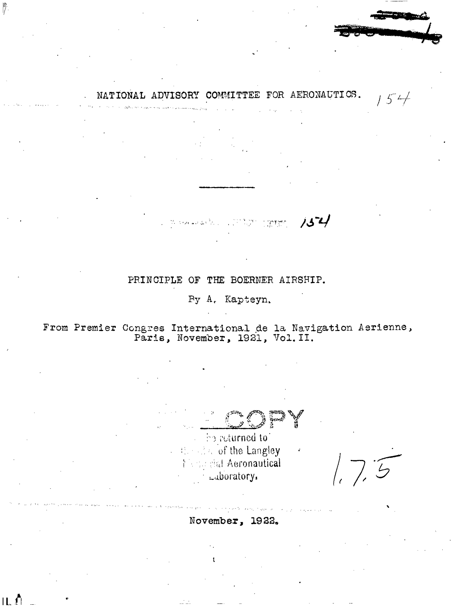NATIONAL ADVISORY COMMITTEE FOR AERONAUTICS.

 $\mathcal{C}$ 

 $11.4<sup>h</sup>$ 

PRINCIPLE OF THE BOERNER AIRSHIP.

 $\frac{\nabla \cdot \nabla \nabla}{\nabla \cdot \nabla}$ 

 $\label{eq:3} \begin{array}{ll} \mathcal{L}^{\text{max}}(\mathcal{D},\mathcal{D})=\mathcal{L}^{\text{max}}(\mathcal{D},\mathcal{D}) \end{array}$ 

, Somalsch,

By A. Kapteyn.

From Premier Congres International de la Navigation Aerienne,<br>Paris, November, 1921, Vol.II.

 $15 - 1$ 

he returned to: **Collection** of the Langley **Near that Aeronautical** Laboratory.

 $1, 7.5$ 

 $154$ 

## November, 1922.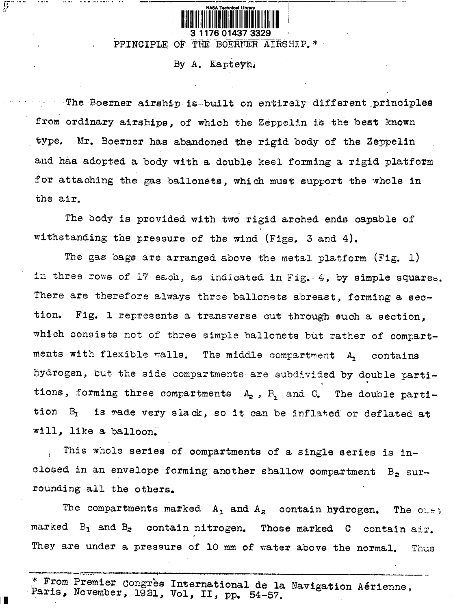

PRINCIPLE OF THE BOERNER AIRSHIP. \*

停

By A. Kapteyn.

The Boerner airship is built on entirely different principles from ordinary airships, of which the Zeppelin is the best known type. Mr. Boerner has abandoned the rigid body of the Zeppelin and has adopted a body with a double keel forming a rigid platform for attaching the gas ballonets, which must support the whole in the air.

The body is provided with two rigid arched ends capable of withstanding the pressure of the wind (Figs. 3 and 4).

The gas bags are arranged above the metal platform (Fig. 1) in three rows of 17 each, as indicated in Fig. 4, by simple squares. There are therefore always three ballonets abreast, forming a sec-Fig. 1 represents a transverse cut through such a section, tion. which consists not of three simple ballonets but rather of compartments with flexible walls. The middle compartment A, contains hydrogen, but the side compartments are subdivided by double partitions, forming three compartments  $A_2$ ,  $B_1$  and  $C_n$  The double parti- $\verb|tion B_1|$ is made very slack, so it can be inflated or deflated at will, like a balloon.

This whole series of compartments of a single series is inclosed in an envelope forming another shallow compartment B<sub>2</sub> surrounding all the others.

The compartments marked  $A_1$  and  $A_2$  contain hydrogen. The ones marked  $B_1$  and  $B_2$  contain nitrogen. Those marked C contain air. They are under a pressure of 10 mm of water above the normal. Thus

\* From Premier Congrès International de la Navigation Aérienne, Paris, November, 1921, Vol, II, pp. 54-57.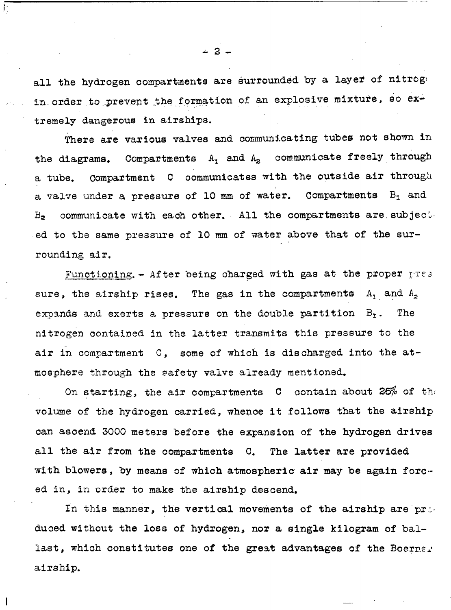all the hydrogen compartments are surrounded by a layer of nitroge in order to prevent the formation of an explosive mixture, so extremely dangerous in airships.

There are various valves and communicating tubes not shown in the diagrams. Compartments  $A_1$  and  $A_2$  communicate freely through Compartment C communicates with the outside air through a tube. a valve under a pressure of 10 mm of water. Compartments  $B_1$  and  $B_2$  communicate with each other. All the compartments are subject. ed to the same pressure of 10 mm of water above that of the surrounding air.

Functioning. - After being charged with gas at the proper pres sure, the airship rises. The gas in the compartments  $A_1$  and  $A_2$ expands and exerts a pressure on the double partition  $B_1$ . The nitrogen contained in the latter transmits this pressure to the air in compartment C, some of which is discharged into the atmosphere through the safety valve already mentioned.

On starting, the air compartments  $\sigma$  contain about 25% of the volume of the hydrogen carried, whence it follows that the airship can ascend 3000 meters before the expansion of the hydrogen drives all the air from the compartments C. The latter are provided with blowers, by means of which atmospheric air may be again forced in, in order to make the airship descend.

In this manner, the vertical movements of the airship are produced without the loss of hydrogen, nor a single kilogram of ballast, which constitutes one of the great advantages of the Boerner airship.

 $\overline{3}$ .

M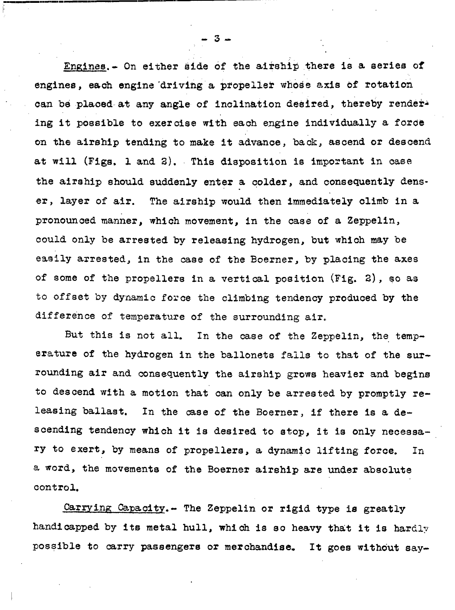Engines.- On either side of the airship there is a series of engines, each engine driving a propeller whose axis of rotation can be placed at any angle of inclination desired, thereby rendering it possible to exercise with each engine individually a forde on the airship tending to make it advance, back, ascend or descend at will (Figs, 1 and 2), This disposition is impoztant in case the airship should suddenly enter a colder, and consequently densex, *layer* of air. The airship would then immediately climb in a pronounced manner, which movement, in the case of a Zeppelin, could only be arrested by releasing hydrogen, but which may be easily arrested, in the case of the Boerner, by placing the axes of some of the propellers in a vertical position (Fig. 2), so as to offset by dynamic force the climbing tendency produced by the difference of temperature of the surrounding air.

But this is not all. In the case of the Zeppelin, the temperature of the hydrogen in the ballonets fails to that of the surrounding air and consequently the airship grows heavier and begtns to descend with a motion that can only be arrested by promptly releasing ballast, In the case of the Boernex, if there is a descending tendency which it is desired to stop, it is only necessary to exert, by means of propellers, a dynamic lifting force. In a word, the movements of the Boerner airship are under absolute control.

Carrying Capacity.- The Zeppelin or rigid type is greatly handicapped by its metal hull, which is so heavy that it is hardly possible to carry passengers or merchandise. It goes without say-

-3-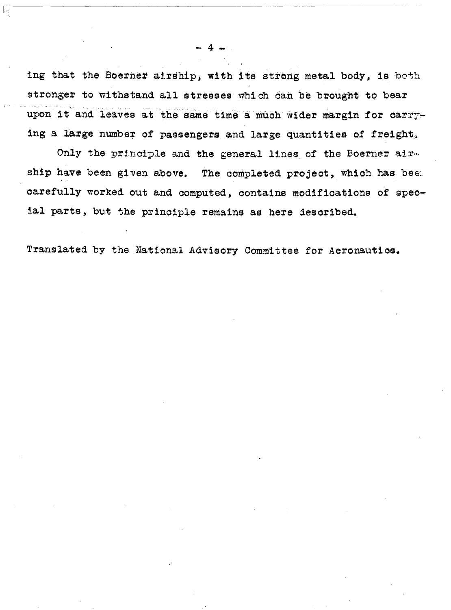ing that the Boerner airship, with its strong metal body, is both stronger to withstand all stresses which can be brought to bear upon it and leaves at the same time a much wider margin for carrying a large number of passengers and large quantities of freight.

Only the principle and the general lines of the Boerner airship have been given above. The completed project, which has been carefully worked out and computed, contains modifications of special parts, but the principle remains as here described.

Translated by the National Advisory Committee for Aeronautics.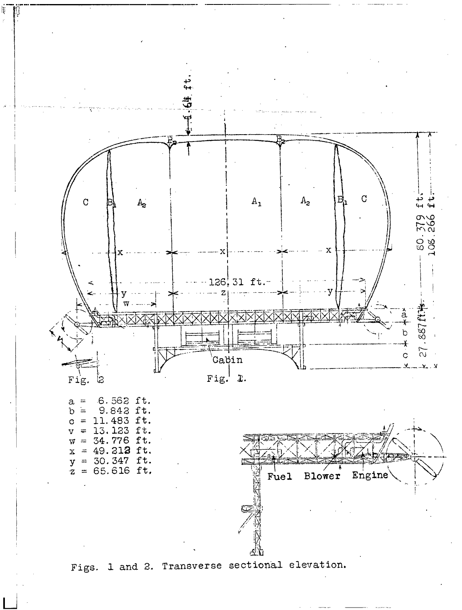





Figs. 1 and 2. Transverse sectional elevation.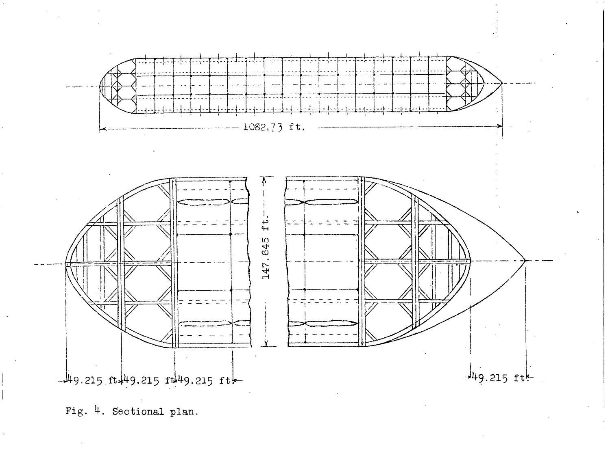

Fig. . Sectional plan.